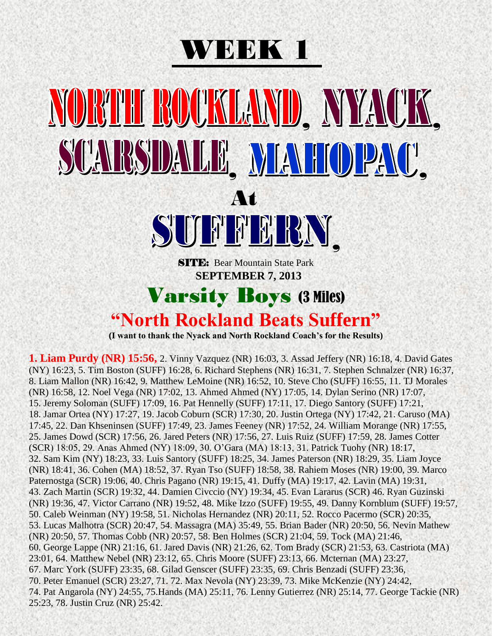### WEEK 1

### MORTH ROCKLAND, NYACK, SCARSDALLE MAHOPAC' At SUARE , **SITE:** Bear Mountain State Park  **SEPTEMBER 7, 2013** Varsity Boys (3 Miles) **"North Rockland Beats Suffern"**

**(I want to thank the Nyack and North Rockland Coach's for the Results)**

**1. Liam Purdy (NR) 15:56,** 2. Vinny Vazquez (NR) 16:03, 3. Assad Jeffery (NR) 16:18, 4. David Gates (NY) 16:23, 5. Tim Boston (SUFF) 16:28, 6. Richard Stephens (NR) 16:31, 7. Stephen Schnalzer (NR) 16:37, 8. Liam Mallon (NR) 16:42, 9. Matthew LeMoine (NR) 16:52, 10. Steve Cho (SUFF) 16:55, 11. TJ Morales (NR) 16:58, 12. Noel Vega (NR) 17:02, 13. Ahmed Ahmed (NY) 17:05, 14. Dylan Serino (NR) 17:07, 15. Jeremy Soloman (SUFF) 17:09, 16. Pat Hennelly (SUFF) 17:11, 17. Diego Santory (SUFF) 17:21, 18. Jamar Ortea (NY) 17:27, 19. Jacob Coburn (SCR) 17:30, 20. Justin Ortega (NY) 17:42, 21. Caruso (MA) 17:45, 22. Dan Khseninsen (SUFF) 17:49, 23. James Feeney (NR) 17:52, 24. William Morange (NR) 17:55, 25. James Dowd (SCR) 17:56, 26. Jared Peters (NR) 17:56, 27. Luis Ruiz (SUFF) 17:59, 28. James Cotter (SCR) 18:05, 29. Anas Ahmed (NY) 18:09, 30. O'Gara (MA) 18:13, 31. Patrick Tuohy (NR) 18:17, 32. Sam Kim (NY) 18:23, 33. Luis Santory (SUFF) 18:25, 34. James Paterson (NR) 18:29, 35. Liam Joyce (NR) 18:41, 36. Cohen (MA) 18:52, 37. Ryan Tso (SUFF) 18:58, 38. Rahiem Moses (NR) 19:00, 39. Marco Paternostga (SCR) 19:06, 40. Chris Pagano (NR) 19:15, 41. Duffy (MA) 19:17, 42. Lavin (MA) 19:31, 43. Zach Martin (SCR) 19:32, 44. Damien Civccio (NY) 19:34, 45. Evan Lararus (SCR) 46. Ryan Guzinski (NR) 19:36, 47. Victor Carrano (NR) 19:52, 48. Mike Izzo (SUFF) 19:55, 49. Danny Kornblum (SUFF) 19:57, 50. Caleb Weinman (NY) 19:58, 51. Nicholas Hernandez (NR) 20:11, 52. Rocco Pacermo (SCR) 20:35, 53. Lucas Malhotra (SCR) 20:47, 54. Massagra (MA) 35:49, 55. Brian Bader (NR) 20:50, 56. Nevin Mathew (NR) 20:50, 57. Thomas Cobb (NR) 20:57, 58. Ben Holmes (SCR) 21:04, 59. Tock (MA) 21:46, 60. George Lappe (NR) 21:16, 61. Jared Davis (NR) 21:26, 62. Tom Brady (SCR) 21:53, 63. Castriota (MA) 23:01, 64. Matthew Nebel (NR) 23:12, 65. Chris Moore (SUFF) 23:13, 66. Mcternan (MA) 23:27, 67. Marc York (SUFF) 23:35, 68. Gilad Genscer (SUFF) 23:35, 69. Chris Benzadi (SUFF) 23:36, 70. Peter Emanuel (SCR) 23:27, 71. 72. Max Nevola (NY) 23:39, 73. Mike McKenzie (NY) 24:42, 74. Pat Angarola (NY) 24:55, 75.Hands (MA) 25:11, 76. Lenny Gutierrez (NR) 25:14, 77. George Tackie (NR) 25:23, 78. Justin Cruz (NR) 25:42.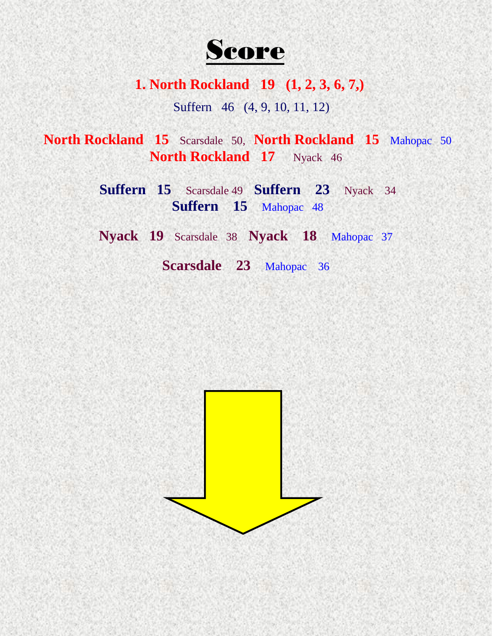

**1. North Rockland 19 (1, 2, 3, 6, 7,)**

Suffern 46 (4, 9, 10, 11, 12)

**North Rockland 15** Scarsdale 50, **North Rockland 15** Mahopac 50 **North Rockland 17** Nyack 46

> **Suffern 15** Scarsdale 49 **Suffern 23** Nyack 34 **Suffern 15** Mahopac 48

> **Nyack 19** Scarsdale 38 **Nyack 18** Mahopac 37

**Scarsdale 23** Mahopac 36

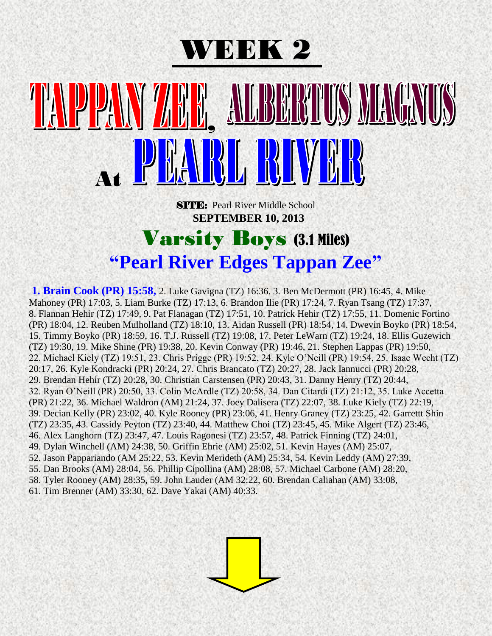

## BUT ON MENTHY , At

**SITE:** Pearl River Middle School  **SEPTEMBER 10, 2013**

#### Varsity Boys (3.1 Miles) **"Pearl River Edges Tappan Zee"**

**1. Brain Cook (PR) 15:58,** 2. Luke Gavigna (TZ) 16:36. 3. Ben McDermott (PR) 16:45, 4. Mike Mahoney (PR) 17:03, 5. Liam Burke (TZ) 17:13, 6. Brandon Ilie (PR) 17:24, 7. Ryan Tsang (TZ) 17:37, 8. Flannan Hehir (TZ) 17:49, 9. Pat Flanagan (TZ) 17:51, 10. Patrick Hehir (TZ) 17:55, 11. Domenic Fortino (PR) 18:04, 12. Reuben Mulholland (TZ) 18:10, 13. Aidan Russell (PR) 18:54, 14. Dwevin Boyko (PR) 18:54, 15. Timmy Boyko (PR) 18:59, 16. T.J. Russell (TZ) 19:08, 17. Peter LeWarn (TZ) 19:24, 18. Ellis Guzewich (TZ) 19:30, 19. Mike Shine (PR) 19:38, 20. Kevin Conway (PR) 19:46, 21. Stephen Lappas (PR) 19:50, 22. Michael Kiely (TZ) 19:51, 23. Chris Prigge (PR) 19:52, 24. Kyle O'Neill (PR) 19:54, 25. Isaac Wecht (TZ) 20:17, 26. Kyle Kondracki (PR) 20:24, 27. Chris Brancato (TZ) 20:27, 28. Jack Iannucci (PR) 20:28, 29. Brendan Hehir (TZ) 20:28, 30. Christian Carstensen (PR) 20:43, 31. Danny Henry (TZ) 20:44, 32. Ryan O'Neill (PR) 20:50, 33. Colin McArdle (TZ) 20:58, 34. Dan Citardi (TZ) 21:12, 35. Luke Accetta (PR) 21:22, 36. Michael Waldron (AM) 21:24, 37. Joey Dalisera (TZ) 22:07, 38. Luke Kiely (TZ) 22:19, 39. Decian Kelly (PR) 23:02, 40. Kyle Rooney (PR) 23:06, 41. Henry Graney (TZ) 23:25, 42. Garrettt Shin (TZ) 23:35, 43. Cassidy Peyton (TZ) 23:40, 44. Matthew Choi (TZ) 23:45, 45. Mike Algert (TZ) 23:46, 46. Alex Langhorn (TZ) 23:47, 47. Louis Ragonesi (TZ) 23:57, 48. Patrick Finning (TZ) 24:01, 49. Dylan Winchell (AM) 24:38, 50. Griffin Ehrie (AM) 25:02, 51. Kevin Hayes (AM) 25:07, 52. Jason Pappariando (AM 25:22, 53. Kevin Merideth (AM) 25:34, 54. Kevin Leddy (AM) 27:39, 55. Dan Brooks (AM) 28:04, 56. Phillip Cipollina (AM) 28:08, 57. Michael Carbone (AM) 28:20, 58. Tyler Rooney (AM) 28:35, 59. John Lauder (AM 32:22, 60. Brendan Caliahan (AM) 33:08, 61. Tim Brenner (AM) 33:30, 62. Dave Yakai (AM) 40:33.

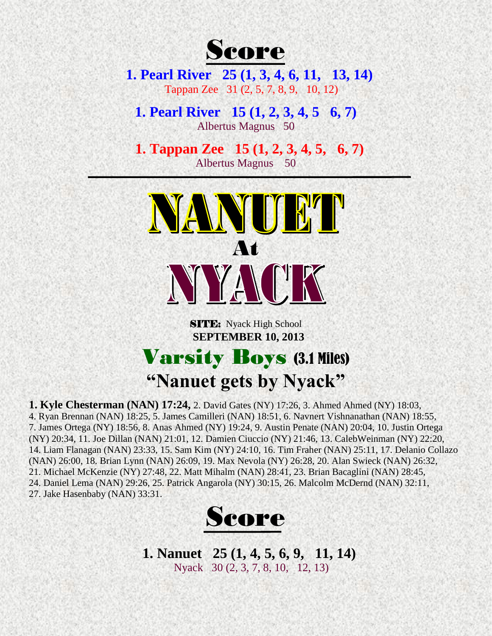

**1. Pearl River 25 (1, 3, 4, 6, 11, 13, 14)** Tappan Zee 31 (2, 5, 7, 8, 9, 10, 12)

**1. Pearl River 15 (1, 2, 3, 4, 5 6, 7)** Albertus Magnus 50

 **1. Tappan Zee 15 (1, 2, 3, 4, 5, 6, 7)**  Albertus Magnus 50



**SITE:** Nyack High School  **SEPTEMBER 10, 2013** Varsity Boys (3.1 Miles)

**"Nanuet gets by Nyack" 1. Kyle Chesterman (NAN) 17:24,** 2. David Gates (NY) 17:26, 3. Ahmed Ahmed (NY) 18:03, 4. Ryan Brennan (NAN) 18:25, 5. James Camilleri (NAN) 18:51, 6. Navnert Vishnanathan (NAN) 18:55, 7. James Ortega (NY) 18:56, 8. Anas Ahmed (NY) 19:24, 9. Austin Penate (NAN) 20:04, 10. Justin Ortega (NY) 20:34, 11. Joe Dillan (NAN) 21:01, 12. Damien Ciuccio (NY) 21:46, 13. CalebWeinman (NY) 22:20,

14. Liam Flanagan (NAN) 23:33, 15. Sam Kim (NY) 24:10, 16. Tim Fraher (NAN) 25:11, 17. Delanio Collazo (NAN) 26:00, 18. Brian Lynn (NAN) 26:09, 19. Max Nevola (NY) 26:28, 20. Alan Swieck (NAN) 26:32, 21. Michael McKenzie (NY) 27:48, 22. Matt Mihalm (NAN) 28:41, 23. Brian Bacaglini (NAN) 28:45, 24. Daniel Lema (NAN) 29:26, 25. Patrick Angarola (NY) 30:15, 26. Malcolm McDernd (NAN) 32:11, 27. Jake Hasenbaby (NAN) 33:31.



**1. Nanuet 25 (1, 4, 5, 6, 9, 11, 14)** Nyack 30 (2, 3, 7, 8, 10, 12, 13)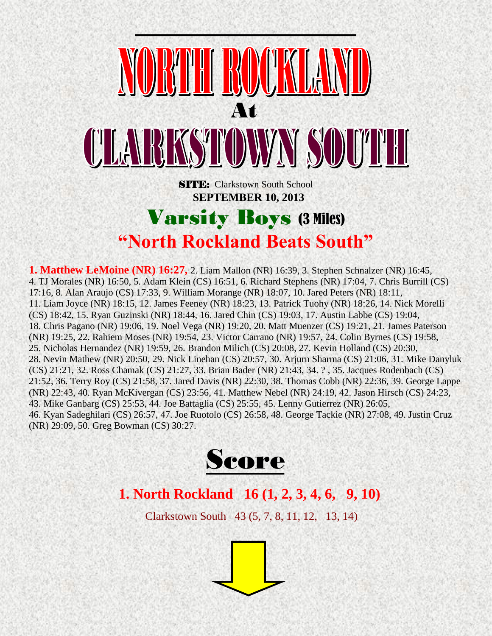

**"North Rockland Beats South"** 

**1. Matthew LeMoine (NR) 16:27,** 2. Liam Mallon (NR) 16:39, 3. Stephen Schnalzer (NR) 16:45, 4. TJ Morales (NR) 16:50, 5. Adam Klein (CS) 16:51, 6. Richard Stephens (NR) 17:04, 7. Chris Burrill (CS) 17:16, 8. Alan Araujo (CS) 17:33, 9. William Morange (NR) 18:07, 10. Jared Peters (NR) 18:11, 11. Liam Joyce (NR) 18:15, 12. James Feeney (NR) 18:23, 13. Patrick Tuohy (NR) 18:26, 14. Nick Morelli (CS) 18:42, 15. Ryan Guzinski (NR) 18:44, 16. Jared Chin (CS) 19:03, 17. Austin Labbe (CS) 19:04, 18. Chris Pagano (NR) 19:06, 19. Noel Vega (NR) 19:20, 20. Matt Muenzer (CS) 19:21, 21. James Paterson (NR) 19:25, 22. Rahiem Moses (NR) 19:54, 23. Victor Carrano (NR) 19:57, 24. Colin Byrnes (CS) 19:58, 25. Nicholas Hernandez (NR) 19:59, 26. Brandon Milich (CS) 20:08, 27. Kevin Holland (CS) 20:30, 28. Nevin Mathew (NR) 20:50, 29. Nick Linehan (CS) 20:57, 30. Arjurn Sharma (CS) 21:06, 31. Mike Danyluk (CS) 21:21, 32. Ross Chamak (CS) 21:27, 33. Brian Bader (NR) 21:43, 34. ? , 35. Jacques Rodenbach (CS) 21:52, 36. Terry Roy (CS) 21:58, 37. Jared Davis (NR) 22:30, 38. Thomas Cobb (NR) 22:36, 39. George Lappe (NR) 22:43, 40. Ryan McKivergan (CS) 23:56, 41. Matthew Nebel (NR) 24:19, 42. Jason Hirsch (CS) 24:23, 43. Mike Ganbarg (CS) 25:53, 44. Joe Battaglia (CS) 25:55, 45. Lenny Gutierrez (NR) 26:05, 46. Kyan Sadeghilari (CS) 26:57, 47. Joe Ruotolo (CS) 26:58, 48. George Tackie (NR) 27:08, 49. Justin Cruz (NR) 29:09, 50. Greg Bowman (CS) 30:27.



#### **1. North Rockland 16 (1, 2, 3, 4, 6, 9, 10)**

Clarkstown South 43 (5, 7, 8, 11, 12, 13, 14)

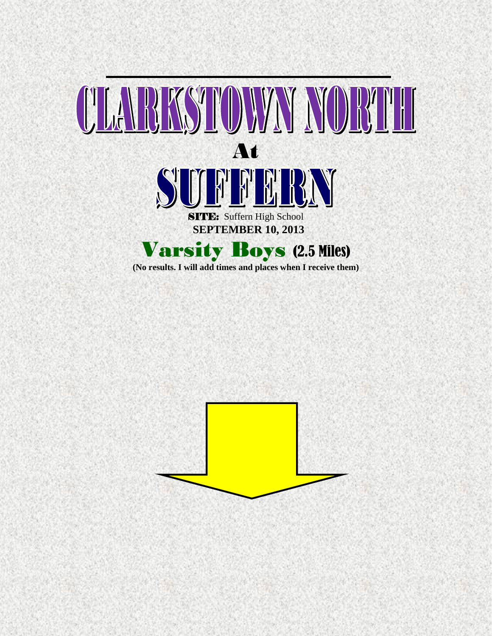

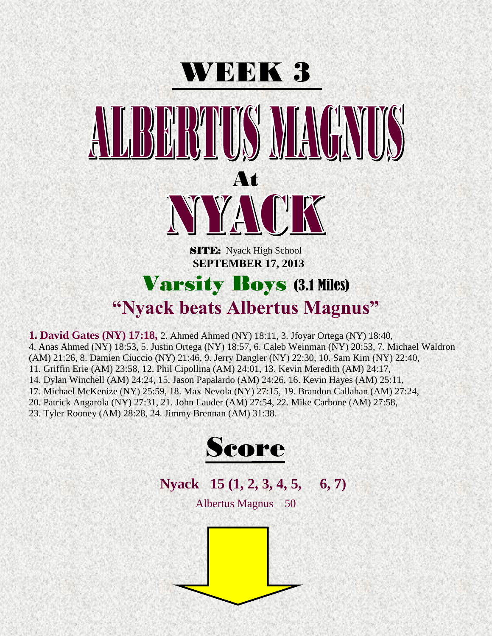

**1. David Gates (NY) 17:18,** 2. Ahmed Ahmed (NY) 18:11, 3. Jfoyar Ortega (NY) 18:40, 4. Anas Ahmed (NY) 18:53, 5. Justin Ortega (NY) 18:57, 6. Caleb Weinman (NY) 20:53, 7. Michael Waldron (AM) 21:26, 8. Damien Ciuccio (NY) 21:46, 9. Jerry Dangler (NY) 22:30, 10. Sam Kim (NY) 22:40, 11. Griffin Erie (AM) 23:58, 12. Phil Cipollina (AM) 24:01, 13. Kevin Meredith (AM) 24:17, 14. Dylan Winchell (AM) 24:24, 15. Jason Papalardo (AM) 24:26, 16. Kevin Hayes (AM) 25:11, 17. Michael McKenize (NY) 25:59, 18. Max Nevola (NY) 27:15, 19. Brandon Callahan (AM) 27:24, 20. Patrick Angarola (NY) 27:31, 21. John Lauder (AM) 27:54, 22. Mike Carbone (AM) 27:58,

23. Tyler Rooney (AM) 28:28, 24. Jimmy Brennan (AM) 31:38.



 **Nyack 15 (1, 2, 3, 4, 5, 6, 7)**

Albertus Magnus 50

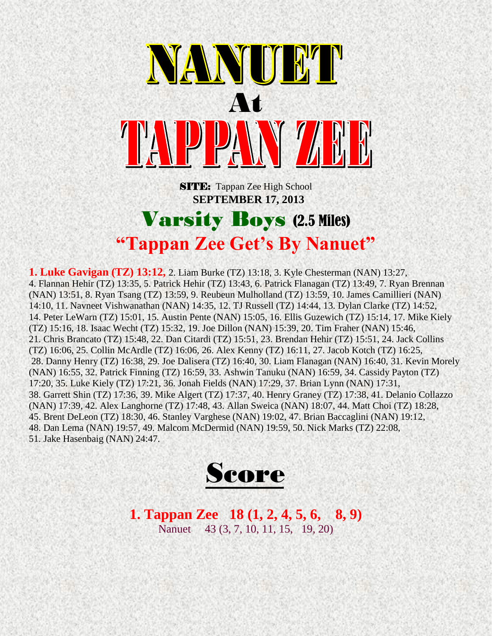

**SITE:** Tappan Zee High School  **SEPTEMBER 17, 2013**

#### Varsity Boys (2.5 Miles) **"Tappan Zee Get's By Nanuet"**

**1. Luke Gavigan (TZ) 13:12,** 2. Liam Burke (TZ) 13:18, 3. Kyle Chesterman (NAN) 13:27, 4. Flannan Hehir (TZ) 13:35, 5. Patrick Hehir (TZ) 13:43, 6. Patrick Flanagan (TZ) 13:49, 7. Ryan Brennan (NAN) 13:51, 8. Ryan Tsang (TZ) 13:59, 9. Reubeun Mulholland (TZ) 13:59, 10. James Camillieri (NAN) 14:10, 11. Navneet Vishwanathan (NAN) 14:35, 12. TJ Russell (TZ) 14:44, 13. Dylan Clarke (TZ) 14:52, 14. Peter LeWarn (TZ) 15:01, 15. Austin Pente (NAN) 15:05, 16. Ellis Guzewich (TZ) 15:14, 17. Mike Kiely (TZ) 15:16, 18. Isaac Wecht (TZ) 15:32, 19. Joe Dillon (NAN) 15:39, 20. Tim Fraher (NAN) 15:46, 21. Chris Brancato (TZ) 15:48, 22. Dan Citardi (TZ) 15:51, 23. Brendan Hehir (TZ) 15:51, 24. Jack Collins (TZ) 16:06, 25. Collin McArdle (TZ) 16:06, 26. Alex Kenny (TZ) 16:11, 27. Jacob Kotch (TZ) 16:25, 28. Danny Henry (TZ) 16:38, 29. Joe Dalisera (TZ) 16:40, 30. Liam Flanagan (NAN) 16:40, 31. Kevin Morely (NAN) 16:55, 32. Patrick Finning (TZ) 16:59, 33. Ashwin Tanuku (NAN) 16:59, 34. Cassidy Payton (TZ) 17:20, 35. Luke Kiely (TZ) 17:21, 36. Jonah Fields (NAN) 17:29, 37. Brian Lynn (NAN) 17:31, 38. Garrett Shin (TZ) 17:36, 39. Mike Algert (TZ) 17:37, 40. Henry Graney (TZ) 17:38, 41. Delanio Collazzo (NAN) 17:39, 42. Alex Langhorne (TZ) 17:48, 43. Allan Sweica (NAN) 18:07, 44. Matt Choi (TZ) 18:28, 45. Brent DeLeon (TZ) 18:30, 46. Stanley Varghese (NAN) 19:02, 47. Brian Baccaglini (NAN) 19:12, 48. Dan Lema (NAN) 19:57, 49. Malcom McDermid (NAN) 19:59, 50. Nick Marks (TZ) 22:08, 51. Jake Hasenbaig (NAN) 24:47.



**1. Tappan Zee 18 (1, 2, 4, 5, 6, 8, 9)**  Nanuet 43 (3, 7, 10, 11, 15, 19, 20)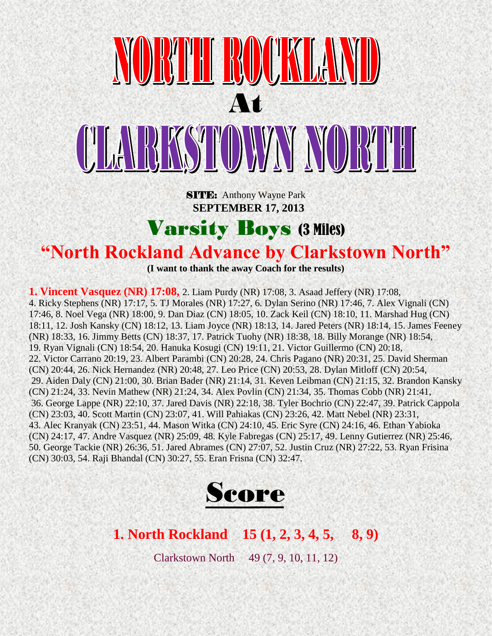

**SITE:** Anthony Wayne Park  **SEPTEMBER 17, 2013**

Varsity Boys (3 Miles)

#### **"North Rockland Advance by Clarkstown North"**

**(I want to thank the away Coach for the results)**

**1. Vincent Vasquez (NR) 17:08,** 2. Liam Purdy (NR) 17:08, 3. Asaad Jeffery (NR) 17:08, 4. Ricky Stephens (NR) 17:17, 5. TJ Morales (NR) 17:27, 6. Dylan Serino (NR) 17:46, 7. Alex Vignali (CN) 17:46, 8. Noel Vega (NR) 18:00, 9. Dan Diaz (CN) 18:05, 10. Zack Keil (CN) 18:10, 11. Marshad Hug (CN) 18:11, 12. Josh Kansky (CN) 18:12, 13. Liam Joyce (NR) 18:13, 14. Jared Peters (NR) 18:14, 15. James Feeney (NR) 18:33, 16. Jimmy Betts (CN) 18:37, 17. Patrick Tuohy (NR) 18:38, 18. Billy Morange (NR) 18:54, 19. Ryan Vignali (CN) 18:54, 20. Hanuka Kosugi (CN) 19:11, 21. Victor Guillermo (CN) 20:18, 22. Victor Carrano 20:19, 23. Albert Parambi (CN) 20:28, 24. Chris Pagano (NR) 20:31, 25. David Sherman (CN) 20:44, 26. Nick Hernandez (NR) 20:48, 27. Leo Price (CN) 20:53, 28. Dylan Mitloff (CN) 20:54, 29. Aiden Daly (CN) 21:00, 30. Brian Bader (NR) 21:14, 31. Keven Leibman (CN) 21:15, 32. Brandon Kansky (CN) 21:24, 33. Nevin Mathew (NR) 21:24, 34. Alex Povlin (CN) 21:34, 35. Thomas Cobb (NR) 21:41, 36. George Lappe (NR) 22:10, 37. Jared Davis (NR) 22:18, 38. Tyler Bochrio (CN) 22:47, 39. Patrick Cappola (CN) 23:03, 40. Scott Martin (CN) 23:07, 41. Will Pahiakas (CN) 23:26, 42. Matt Nebel (NR) 23:31, 43. Alec Kranyak (CN) 23:51, 44. Mason Witka (CN) 24:10, 45. Eric Syre (CN) 24:16, 46. Ethan Yabioka (CN) 24:17, 47. Andre Vasquez (NR) 25:09, 48. Kyle Fabregas (CN) 25:17, 49. Lenny Gutierrez (NR) 25:46, 50. George Tackie (NR) 26:36, 51. Jared Abrames (CN) 27:07, 52. Justin Cruz (NR) 27:22, 53. Ryan Frisina (CN) 30:03, 54. Raji Bhandal (CN) 30:27, 55. Eran Frisna (CN) 32:47.



#### **1. North Rockland 15 (1, 2, 3, 4, 5, 8, 9)**

Clarkstown North 49 (7, 9, 10, 11, 12)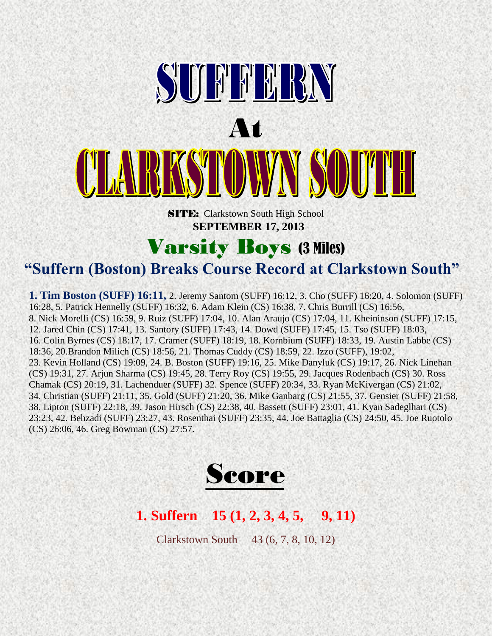

#### Varsity Boys (3 Miles)

**"Suffern (Boston) Breaks Course Record at Clarkstown South"** 

**1. Tim Boston (SUFF) 16:11,** 2. Jeremy Santom (SUFF) 16:12, 3. Cho (SUFF) 16:20, 4. Solomon (SUFF) 16:28, 5. Patrick Hennelly (SUFF) 16:32, 6. Adam Klein (CS) 16:38, 7. Chris Burrill (CS) 16:56, 8. Nick Morelli (CS) 16:59, 9. Ruiz (SUFF) 17:04, 10. Alan Araujo (CS) 17:04, 11. Kheininson (SUFF) 17:15, 12. Jared Chin (CS) 17:41, 13. Santory (SUFF) 17:43, 14. Dowd (SUFF) 17:45, 15. Tso (SUFF) 18:03, 16. Colin Byrnes (CS) 18:17, 17. Cramer (SUFF) 18:19, 18. Kornbium (SUFF) 18:33, 19. Austin Labbe (CS) 18:36, 20.Brandon Milich (CS) 18:56, 21. Thomas Cuddy (CS) 18:59, 22. Izzo (SUFF), 19:02, 23. Kevin Holland (CS) 19:09, 24. B. Boston (SUFF) 19:16, 25. Mike Danyluk (CS) 19:17, 26. Nick Linehan (CS) 19:31, 27. Arjun Sharma (CS) 19:45, 28. Terry Roy (CS) 19:55, 29. Jacques Rodenbach (CS) 30. Ross Chamak (CS) 20:19, 31. Lachenduer (SUFF) 32. Spence (SUFF) 20:34, 33. Ryan McKivergan (CS) 21:02, 34. Christian (SUFF) 21:11, 35. Gold (SUFF) 21:20, 36. Mike Ganbarg (CS) 21:55, 37. Gensier (SUFF) 21:58, 38. Lipton (SUFF) 22:18, 39. Jason Hirsch (CS) 22:38, 40. Bassett (SUFF) 23:01, 41. Kyan Sadeglhari (CS) 23:23, 42. Behzadi (SUFF) 23:27, 43. Rosenthai (SUFF) 23:35, 44. Joe Battaglia (CS) 24:50, 45. Joe Ruotolo (CS) 26:06, 46. Greg Bowman (CS) 27:57.



#### **1. Suffern 15 (1, 2, 3, 4, 5, 9, 11)**

Clarkstown South 43 (6, 7, 8, 10, 12)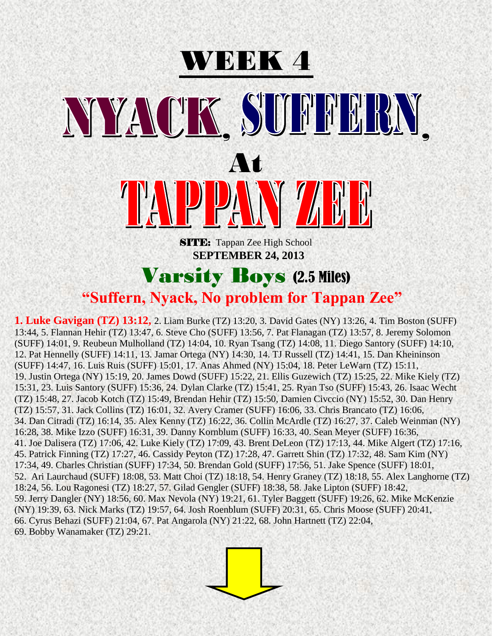# WEEK 4 NYACK SUFFERN At SITE: Tappan Zee High School  **SEPTEMBER 24, 2013**

Varsity Boys (2.5 Miles)

#### **"Suffern, Nyack, No problem for Tappan Zee"**

**1. Luke Gavigan (TZ) 13:12,** 2. Liam Burke (TZ) 13:20, 3. David Gates (NY) 13:26, 4. Tim Boston (SUFF) 13:44, 5. Flannan Hehir (TZ) 13:47, 6. Steve Cho (SUFF) 13:56, 7. Pat Flanagan (TZ) 13:57, 8. Jeremy Solomon (SUFF) 14:01, 9. Reubeun Mulholland (TZ) 14:04, 10. Ryan Tsang (TZ) 14:08, 11. Diego Santory (SUFF) 14:10, 12. Pat Hennelly (SUFF) 14:11, 13. Jamar Ortega (NY) 14:30, 14. TJ Russell (TZ) 14:41, 15. Dan Kheininson (SUFF) 14:47, 16. Luis Ruis (SUFF) 15:01, 17. Anas Ahmed (NY) 15:04, 18. Peter LeWarn (TZ) 15:11, 19. Justin Ortega (NY) 15:19, 20. James Dowd (SUFF) 15:22, 21. Ellis Guzewich (TZ) 15:25, 22. Mike Kiely (TZ) 15:31, 23. Luis Santory (SUFF) 15:36, 24. Dylan Clarke (TZ) 15:41, 25. Ryan Tso (SUFF) 15:43, 26. Isaac Wecht (TZ) 15:48, 27. Jacob Kotch (TZ) 15:49, Brendan Hehir (TZ) 15:50, Damien Civccio (NY) 15:52, 30. Dan Henry (TZ) 15:57, 31. Jack Collins (TZ) 16:01, 32. Avery Cramer (SUFF) 16:06, 33. Chris Brancato (TZ) 16:06, 34. Dan Citradi (TZ) 16:14, 35. Alex Kenny (TZ) 16:22, 36. Collin McArdle (TZ) 16:27, 37. Caleb Weinman (NY) 16:28, 38. Mike Izzo (SUFF) 16:31, 39. Danny Kornblum (SUFF) 16:33, 40. Sean Meyer (SUFF) 16:36, 41. Joe Dalisera (TZ) 17:06, 42. Luke Kiely (TZ) 17:09, 43. Brent DeLeon (TZ) 17:13, 44. Mike Algert (TZ) 17:16, 45. Patrick Finning (TZ) 17:27, 46. Cassidy Peyton (TZ) 17:28, 47. Garrett Shin (TZ) 17:32, 48. Sam Kim (NY) 17:34, 49. Charles Christian (SUFF) 17:34, 50. Brendan Gold (SUFF) 17:56, 51. Jake Spence (SUFF) 18:01, 52. Ari Laurchaud (SUFF) 18:08, 53. Matt Choi (TZ) 18:18, 54. Henry Graney (TZ) 18:18, 55. Alex Langhorne (TZ) 18:24, 56. Lou Ragonesi (TZ) 18:27, 57. Gilad Gengler (SUFF) 18:38, 58. Jake Lipton (SUFF) 18:42, 59. Jerry Dangler (NY) 18:56, 60. Max Nevola (NY) 19:21, 61. Tyler Baggett (SUFF) 19:26, 62. Mike McKenzie (NY) 19:39, 63. Nick Marks (TZ) 19:57, 64. Josh Roenblum (SUFF) 20:31, 65. Chris Moose (SUFF) 20:41, 66. Cyrus Behazi (SUFF) 21:04, 67. Pat Angarola (NY) 21:22, 68. John Hartnett (TZ) 22:04, 69. Bobby Wanamaker (TZ) 29:21.

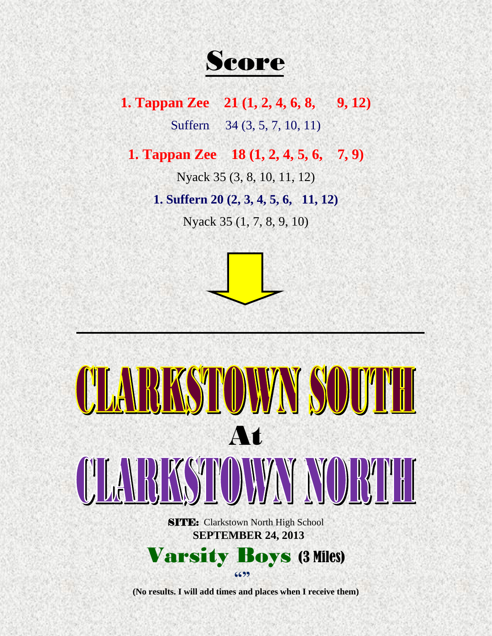Score

**1. Tappan Zee** 21 (1, 2, 4, 6, 8, 9, 12) Suffern 34 (3, 5, 7, 10, 11)

**1. Tappan Zee 18 (1, 2, 4, 5, 6, 7, 9)**

Nyack 35 (3, 8, 10, 11, 12)

**1. Suffern 20 (2, 3, 4, 5, 6, 11, 12)**

Nyack 35 (1, 7, 8, 9, 10)





**(No results. I will add times and places when I receive them)**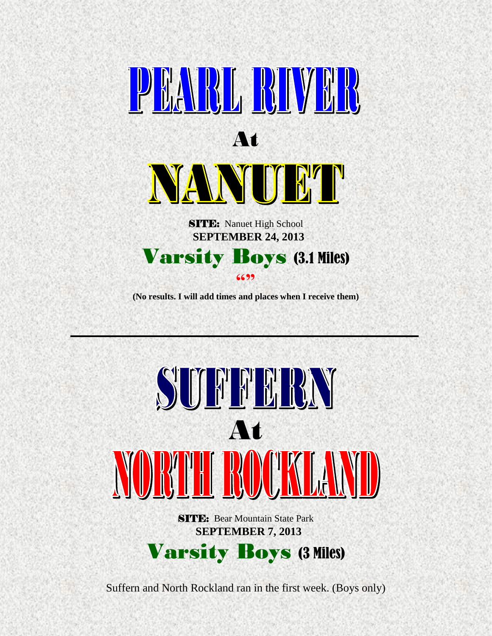

**(No results. I will add times and places when I receive them)**



Suffern and North Rockland ran in the first week. (Boys only)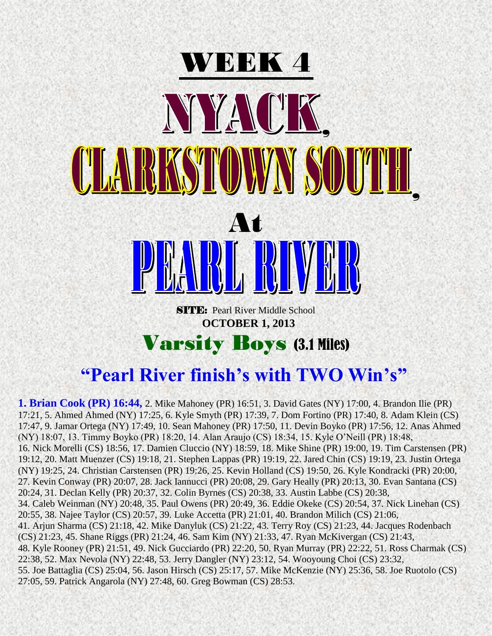

## **1. Brian Cook (PR) 16:44,** 2. Mike Mahoney (PR) 16:51, 3. David Gates (NY) 17:00, 4. Brandon Ilie (PR)

17:21, 5. Ahmed Ahmed (NY) 17:25, 6. Kyle Smyth (PR) 17:39, 7. Dom Fortino (PR) 17:40, 8. Adam Klein (CS) 17:47, 9. Jamar Ortega (NY) 17:49, 10. Sean Mahoney (PR) 17:50, 11. Devin Boyko (PR) 17:56, 12. Anas Ahmed (NY) 18:07, 13. Timmy Boyko (PR) 18:20, 14. Alan Araujo (CS) 18:34, 15. Kyle O'Neill (PR) 18:48, 16. Nick Morelli (CS) 18:56, 17. Damien Cluccio (NY) 18:59, 18. Mike Shine (PR) 19:00, 19. Tim Carstensen (PR) 19:12, 20. Matt Muenzer (CS) 19:18, 21. Stephen Lappas (PR) 19:19, 22. Jared Chin (CS) 19:19, 23. Justin Ortega (NY) 19:25, 24. Christian Carstensen (PR) 19:26, 25. Kevin Holland (CS) 19:50, 26. Kyle Kondracki (PR) 20:00, 27. Kevin Conway (PR) 20:07, 28. Jack Iannucci (PR) 20:08, 29. Gary Heally (PR) 20:13, 30. Evan Santana (CS) 20:24, 31. Declan Kelly (PR) 20:37, 32. Colin Byrnes (CS) 20:38, 33. Austin Labbe (CS) 20:38, 34. Caleb Weinman (NY) 20:48, 35. Paul Owens (PR) 20:49, 36. Eddie Okeke (CS) 20:54, 37. Nick Linehan (CS) 20:55, 38. Najee Taylor (CS) 20:57, 39. Luke Accetta (PR) 21:01, 40. Brandon Milich (CS) 21:06, 41. Arjun Sharma (CS) 21:18, 42. Mike Danyluk (CS) 21:22, 43. Terry Roy (CS) 21:23, 44. Jacques Rodenbach (CS) 21:23, 45. Shane Riggs (PR) 21:24, 46. Sam Kim (NY) 21:33, 47. Ryan McKivergan (CS) 21:43, 48. Kyle Rooney (PR) 21:51, 49. Nick Gucciardo (PR) 22:20, 50. Ryan Murray (PR) 22:22, 51. Ross Charmak (CS) 22:38, 52. Max Nevola (NY) 22:48, 53. Jerry Dangler (NY) 23:12, 54. Wooyoung Choi (CS) 23:32, 55. Joe Battaglia (CS) 25:04, 56. Jason Hirsch (CS) 25:17, 57. Mike McKenzie (NY) 25:36, 58. Joe Ruotolo (CS) 27:05, 59. Patrick Angarola (NY) 27:48, 60. Greg Bowman (CS) 28:53.